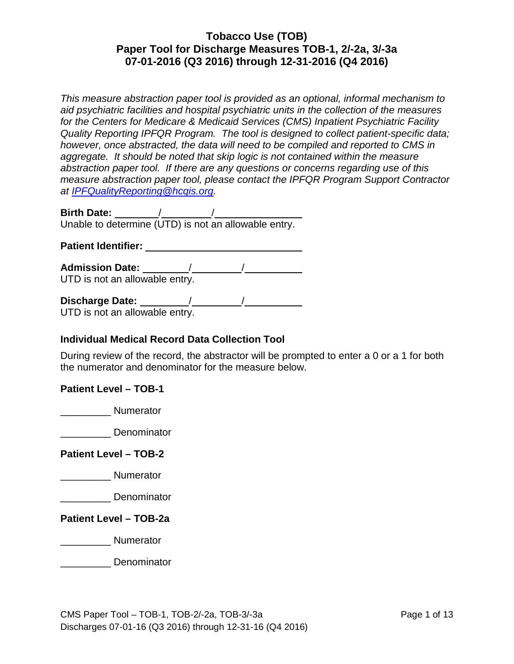*This measure abstraction paper tool is provided as an optional, informal mechanism to aid psychiatric facilities and hospital psychiatric units in the collection of the measures for the Centers for Medicare & Medicaid Services (CMS) Inpatient Psychiatric Facility Quality Reporting IPFQR Program. The tool is designed to collect patient-specific data; however, once abstracted, the data will need to be compiled and reported to CMS in aggregate. It should be noted that skip logic is not contained within the measure abstraction paper tool. If there are any questions or concerns regarding use of this measure abstraction paper tool, please contact the IPFQR Program Support Contractor at [IPFQualityReporting@hcqis.org.](mailto:IPFQualityReporting@hcqis.org)*

**Birth Date:** / / Unable to determine (UTD) is not an allowable entry.

**Patient Identifier:** 

**Admission Date:** / / UTD is not an allowable entry.

**Discharge Date:** / /

UTD is not an allowable entry.

#### **Individual Medical Record Data Collection Tool**

During review of the record, the abstractor will be prompted to enter a 0 or a 1 for both the numerator and denominator for the measure below.

#### **Patient Level – TOB-1**

\_\_\_\_\_\_\_\_\_ Numerator

\_\_\_\_\_\_\_\_\_ Denominator

**Patient Level – TOB-2**

\_\_\_\_\_\_\_\_\_ Numerator

\_\_\_\_\_\_\_\_\_ Denominator

**Patient Level – TOB-2a**

\_\_\_\_\_\_\_\_\_ Numerator

\_\_\_\_\_\_\_\_\_ Denominator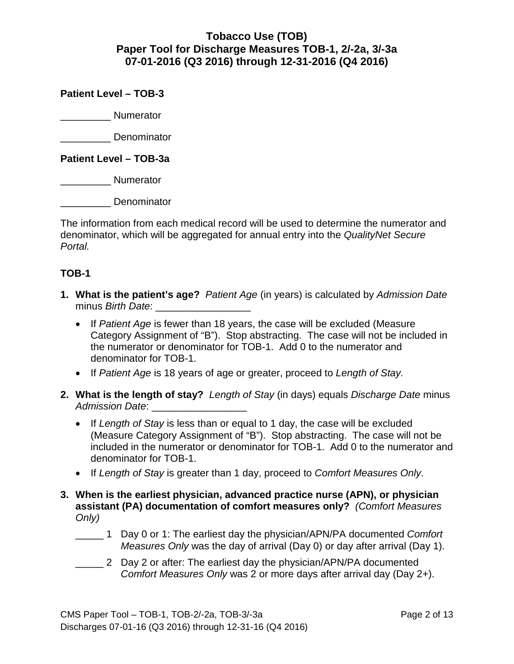**Patient Level – TOB-3**

\_\_\_\_\_\_\_\_\_ Numerator

\_\_\_\_\_\_\_\_\_ Denominator

**Patient Level – TOB-3a**

\_\_\_\_\_\_\_\_\_ Numerator

\_\_\_\_\_\_\_\_\_ Denominator

The information from each medical record will be used to determine the numerator and denominator, which will be aggregated for annual entry into the *QualityNet Secure Portal.* 

#### **TOB-1**

- **1. What is the patient's age?** *Patient Age* (in years) is calculated by *Admission Date* minus *Birth Date*:
	- If *Patient Age* is fewer than 18 years, the case will be excluded (Measure Category Assignment of "B"). Stop abstracting. The case will not be included in the numerator or denominator for TOB-1. Add 0 to the numerator and denominator for TOB-1.
	- If *Patient Age* is 18 years of age or greater, proceed to *Length of Stay.*
- **2. What is the length of stay?** *Length of Stay* (in days) equals *Discharge Date* minus *Admission Date*: \_\_\_\_\_\_\_\_\_\_\_\_\_\_\_\_\_
	- If *Length of Stay* is less than or equal to 1 day, the case will be excluded (Measure Category Assignment of "B"). Stop abstracting. The case will not be included in the numerator or denominator for TOB-1. Add 0 to the numerator and denominator for TOB-1.
	- If *Length of Stay* is greater than 1 day, proceed to *Comfort Measures Only*.
- **3. When is the earliest physician, advanced practice nurse (APN), or physician assistant (PA) documentation of comfort measures only?** *(Comfort Measures Only)*
	- \_\_\_\_\_ 1 Day 0 or 1: The earliest day the physician/APN/PA documented *Comfort Measures Only* was the day of arrival (Day 0) or day after arrival (Day 1).
	- \_\_\_\_\_ 2 Day 2 or after: The earliest day the physician/APN/PA documented *Comfort Measures Only* was 2 or more days after arrival day (Day 2+).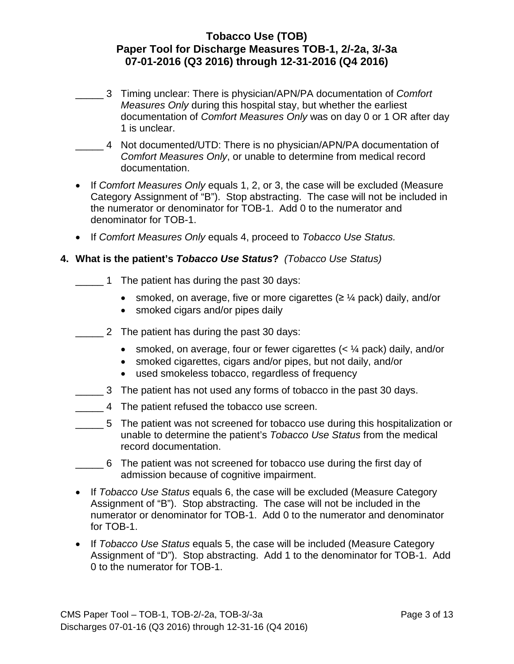- \_\_\_\_\_ 3 Timing unclear: There is physician/APN/PA documentation of *Comfort Measures Only* during this hospital stay, but whether the earliest documentation of *Comfort Measures Only* was on day 0 or 1 OR after day 1 is unclear.
- \_\_\_\_\_ 4 Not documented/UTD: There is no physician/APN/PA documentation of *Comfort Measures Only*, or unable to determine from medical record documentation.
- If *Comfort Measures Only* equals 1, 2, or 3, the case will be excluded (Measure Category Assignment of "B"). Stop abstracting. The case will not be included in the numerator or denominator for TOB-1. Add 0 to the numerator and denominator for TOB-1.
- If *Comfort Measures Only* equals 4, proceed to *Tobacco Use Status.*

#### **4. What is the patient's** *Tobacco Use Status***?** *(Tobacco Use Status)*

- \_\_\_\_\_ 1 The patient has during the past 30 days:
	- smoked, on average, five or more cigarettes  $(≥ \frac{1}{4}$  pack) daily, and/or
	- smoked cigars and/or pipes daily
- \_\_\_\_\_ 2 The patient has during the past 30 days:
	- smoked, on average, four or fewer cigarettes  $\langle \langle \rangle^2 \rangle$  pack) daily, and/or
	- smoked cigarettes, cigars and/or pipes, but not daily, and/or
	- used smokeless tobacco, regardless of frequency
- \_\_\_\_\_ 3 The patient has not used any forms of tobacco in the past 30 days.
- \_\_\_\_\_ 4 The patient refused the tobacco use screen.
- \_\_\_\_\_ 5 The patient was not screened for tobacco use during this hospitalization or unable to determine the patient's *Tobacco Use Status* from the medical record documentation.
- \_\_\_\_\_ 6 The patient was not screened for tobacco use during the first day of admission because of cognitive impairment.
- If *Tobacco Use Status* equals 6, the case will be excluded (Measure Category Assignment of "B"). Stop abstracting. The case will not be included in the numerator or denominator for TOB-1. Add 0 to the numerator and denominator for TOB-1.
- If *Tobacco Use Status* equals 5, the case will be included (Measure Category Assignment of "D"). Stop abstracting. Add 1 to the denominator for TOB-1. Add 0 to the numerator for TOB-1.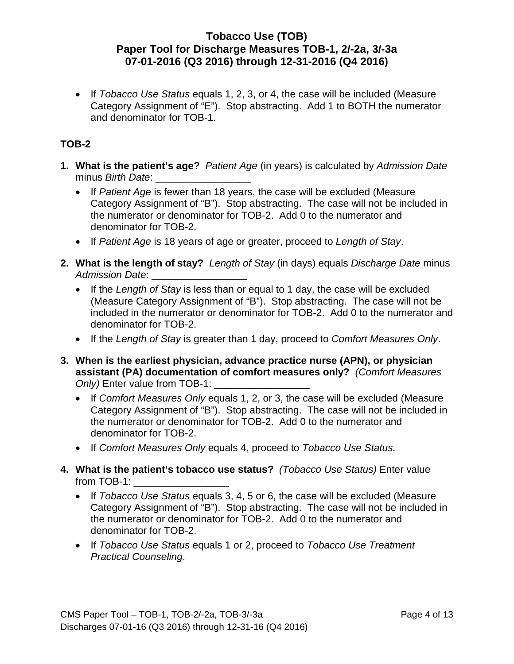• If *Tobacco Use Status* equals 1, 2, 3, or 4, the case will be included (Measure Category Assignment of "E"). Stop abstracting. Add 1 to BOTH the numerator and denominator for TOB-1.

# **TOB-2**

- **1. What is the patient's age?** *Patient Age* (in years) is calculated by *Admission Date* minus *Birth Date*:
	- If *Patient Age* is fewer than 18 years, the case will be excluded (Measure Category Assignment of "B"). Stop abstracting. The case will not be included in the numerator or denominator for TOB-2. Add 0 to the numerator and denominator for TOB-2.
	- If *Patient Age* is 18 years of age or greater, proceed to *Length of Stay*.
- **2. What is the length of stay?** *Length of Stay* (in days) equals *Discharge Date* minus *Admission Date*: \_\_\_\_\_\_\_\_\_\_\_\_\_\_\_\_\_
	- If the *Length of Stay* is less than or equal to 1 day, the case will be excluded (Measure Category Assignment of "B"). Stop abstracting. The case will not be included in the numerator or denominator for TOB-2. Add 0 to the numerator and denominator for TOB-2.
	- If the *Length of Stay* is greater than 1 day, proceed to *Comfort Measures Only*.
- **3. When is the earliest physician, advance practice nurse (APN), or physician assistant (PA) documentation of comfort measures only?** *(Comfort Measures Only*) Enter value from TOB-1:
	- If *Comfort Measures Only* equals 1, 2, or 3, the case will be excluded (Measure Category Assignment of "B"). Stop abstracting. The case will not be included in the numerator or denominator for TOB-2. Add 0 to the numerator and denominator for TOB-2.
	- If *Comfort Measures Only* equals 4, proceed to *Tobacco Use Status.*
- **4. What is the patient's tobacco use status?** *(Tobacco Use Status)* Enter value from TOB-1:
	- If *Tobacco Use Status* equals 3, 4, 5 or 6, the case will be excluded (Measure Category Assignment of "B"). Stop abstracting. The case will not be included in the numerator or denominator for TOB-2. Add 0 to the numerator and denominator for TOB-2.
	- If *Tobacco Use Status* equals 1 or 2, proceed to *Tobacco Use Treatment Practical Counseling*.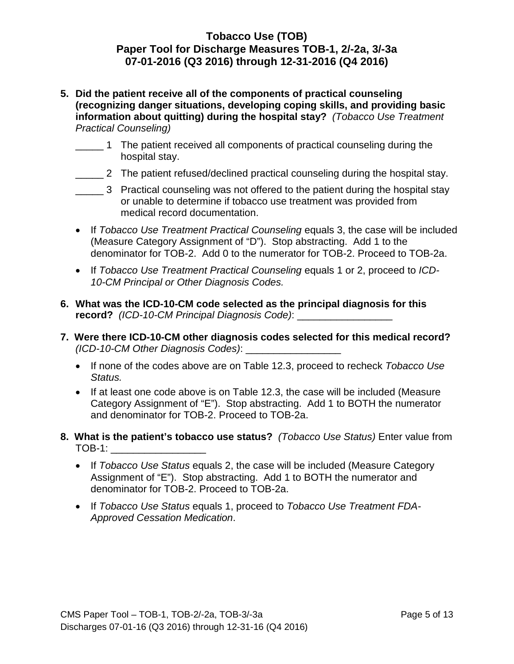- **5. Did the patient receive all of the components of practical counseling (recognizing danger situations, developing coping skills, and providing basic information about quitting) during the hospital stay?** *(Tobacco Use Treatment Practical Counseling)*
	- \_\_\_\_\_ 1 The patient received all components of practical counseling during the hospital stay.
	- \_\_\_\_\_ 2 The patient refused/declined practical counseling during the hospital stay.
	- \_\_\_\_\_ 3 Practical counseling was not offered to the patient during the hospital stay or unable to determine if tobacco use treatment was provided from medical record documentation.
	- If *Tobacco Use Treatment Practical Counseling* equals 3, the case will be included (M*e*asure Category Assignment of "D"). Stop abstracting. Add 1 to the denominator for TOB-2. Add 0 to the numerator for TOB-2. Proceed to TOB-2a.
	- If *Tobacco Use Treatment Practical Counseling* equals 1 or 2, proceed to *ICD-10-CM Principal or Other Diagnosis Codes.*
- **6. What was the ICD-10-CM code selected as the principal diagnosis for this record?** *(ICD-10-CM Principal Diagnosis Code)*: \_\_\_\_\_\_\_\_\_\_\_\_\_\_\_\_\_
- **7. Were there ICD-10-CM other diagnosis codes selected for this medical record?** *(ICD-10-CM Other Diagnosis Codes)*: \_\_\_\_\_\_\_\_\_\_\_\_\_\_\_\_\_
	- If none of the codes above are on Table 12.3, proceed to recheck *Tobacco Use Status.*
	- If at least one code above is on Table 12.3, the case will be included (Measure Category Assignment of "E"). Stop abstracting. Add 1 to BOTH the numerator and denominator for TOB-2. Proceed to TOB-2a.
- **8. What is the patient's tobacco use status?** *(Tobacco Use Status)* Enter value from  $TOB-1:$ 
	- If *Tobacco Use Status* equals 2, the case will be included (Measure Category Assignment of "E"). Stop abstracting. Add 1 to BOTH the numerator and denominator for TOB-2. Proceed to TOB-2a.
	- If *Tobacco Use Status* equals 1, proceed to *Tobacco Use Treatment FDA-Approved Cessation Medication*.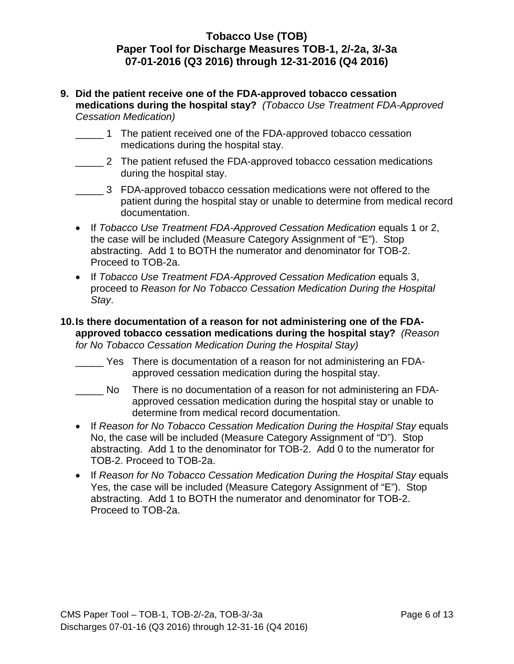- **9. Did the patient receive one of the FDA-approved tobacco cessation medications during the hospital stay?** *(Tobacco Use Treatment FDA-Approved Cessation Medication)*
	- \_\_\_\_\_ 1 The patient received one of the FDA-approved tobacco cessation medications during the hospital stay.
	- \_\_\_\_\_ 2 The patient refused the FDA-approved tobacco cessation medications during the hospital stay.
	- \_\_\_\_\_ 3 FDA-approved tobacco cessation medications were not offered to the patient during the hospital stay or unable to determine from medical record documentation.
	- If *Tobacco Use Treatment FDA-Approved Cessation Medication* equals 1 or 2, the case will be included (Measure Category Assignment of "E"). Stop abstracting. Add 1 to BOTH the numerator and denominator for TOB-2. Proceed to TOB-2a.
	- If *Tobacco Use Treatment FDA-Approved Cessation Medication* equals 3, proceed to *Reason for No Tobacco Cessation Medication During the Hospital Stay*.
- **10.Is there documentation of a reason for not administering one of the FDAapproved tobacco cessation medications during the hospital stay?** *(Reason for No Tobacco Cessation Medication During the Hospital Stay)*
	- \_\_\_\_\_ Yes There is documentation of a reason for not administering an FDAapproved cessation medication during the hospital stay.
	- \_\_\_\_\_ There is no documentation of a reason for not administering an FDAapproved cessation medication during the hospital stay or unable to determine from medical record documentation.
	- If *Reason for No Tobacco Cessation Medication During the Hospital Stay* equals No, the case will be included (Measure Category Assignment of "D"). Stop abstracting. Add 1 to the denominator for TOB-2. Add 0 to the numerator for TOB-2. Proceed to TOB-2a.
	- If *Reason for No Tobacco Cessation Medication During the Hospital Stay* equals Yes, the case will be included (Measure Category Assignment of "E"). Stop abstracting. Add 1 to BOTH the numerator and denominator for TOB-2. Proceed to TOB-2a.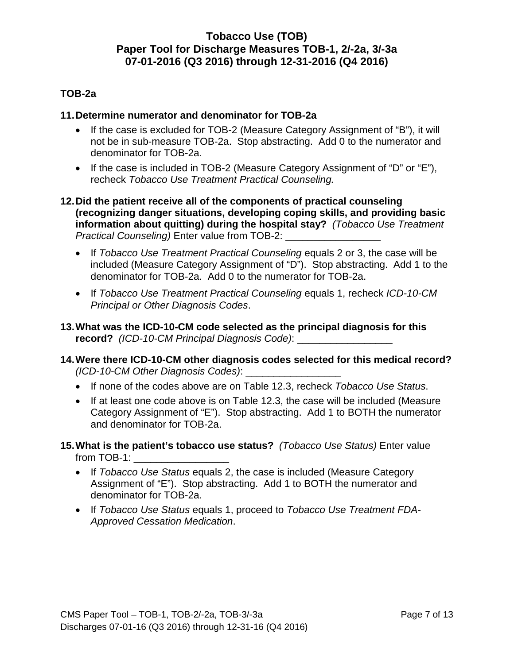#### **TOB-2a**

#### **11.Determine numerator and denominator for TOB-2a**

- If the case is excluded for TOB-2 (Measure Category Assignment of "B"), it will not be in sub-measure TOB-2a. Stop abstracting. Add 0 to the numerator and denominator for TOB-2a.
- If the case is included in TOB-2 (Measure Category Assignment of "D" or "E"), recheck *Tobacco Use Treatment Practical Counseling.*
- **12.Did the patient receive all of the components of practical counseling (recognizing danger situations, developing coping skills, and providing basic information about quitting) during the hospital stay?** *(Tobacco Use Treatment Practical Counseling)* Enter value from TOB-2: \_\_\_\_\_\_\_\_\_\_\_\_\_\_\_\_\_
	- If *Tobacco Use Treatment Practical Counseling* equals 2 or 3, the case will be included (Measure Category Assignment of "D"). Stop abstracting. Add 1 to the denominator for TOB-2a. Add 0 to the numerator for TOB-2a.
	- If *Tobacco Use Treatment Practical Counseling* equals 1, recheck *ICD-10-CM Principal or Other Diagnosis Codes*.
- **13.What was the ICD-10-CM code selected as the principal diagnosis for this record?** *(ICD-10-CM Principal Diagnosis Code)*: \_\_\_\_\_\_\_\_\_\_\_\_\_\_\_\_\_
- **14.Were there ICD-10-CM other diagnosis codes selected for this medical record?** *(ICD-10-CM Other Diagnosis Codes)*: \_\_\_\_\_\_\_\_\_\_\_\_\_\_\_\_\_
	- If none of the codes above are on Table 12.3, recheck *Tobacco Use Status*.
	- If at least one code above is on Table 12.3, the case will be included (Measure Category Assignment of "E"). Stop abstracting. Add 1 to BOTH the numerator and denominator for TOB-2a.
- **15.What is the patient's tobacco use status?** *(Tobacco Use Status)* Enter value from TOB-1:
	- If *Tobacco Use Status* equals 2, the case is included (Measure Category Assignment of "E"). Stop abstracting. Add 1 to BOTH the numerator and denominator for TOB-2a.
	- If *Tobacco Use Status* equals 1, proceed to *Tobacco Use Treatment FDA-Approved Cessation Medication*.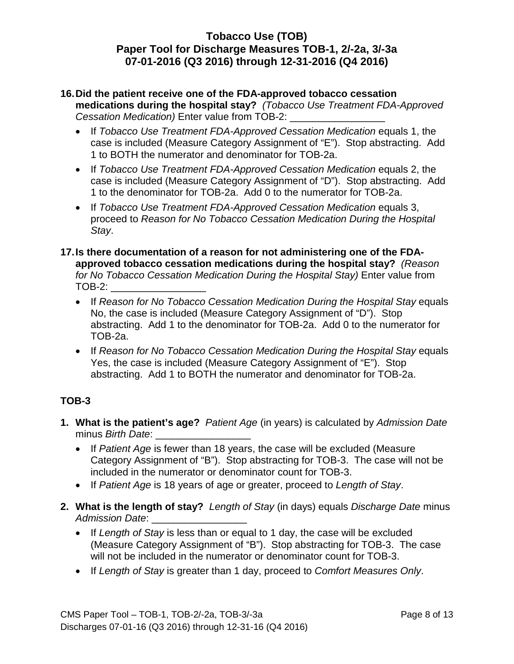- **16.Did the patient receive one of the FDA-approved tobacco cessation medications during the hospital stay?** *(Tobacco Use Treatment FDA-Approved Cessation Medication)* Enter value from TOB-2: \_\_\_\_\_\_\_\_\_\_\_\_\_\_\_\_\_
	- If *Tobacco Use Treatment FDA-Approved Cessation Medication* equals 1, the case is included (M*e*asure Category Assignment of "E"). Stop abstracting. Add 1 to BOTH the numerator and denominator for TOB-2a.
	- If *Tobacco Use Treatment FDA-Approved Cessation Medication* equals 2, the case is included (Measure Category Assignment of "D"). Stop abstracting. Add 1 to the denominator for TOB-2a. Add 0 to the numerator for TOB-2a.
	- If *Tobacco Use Treatment FDA-Approved Cessation Medication* equals 3, proceed to *Reason for No Tobacco Cessation Medication During the Hospital Stay*.
- **17.Is there documentation of a reason for not administering one of the FDAapproved tobacco cessation medications during the hospital stay?** *(Reason for No Tobacco Cessation Medication During the Hospital Stay)* Enter value from TOB-2: \_\_\_\_\_\_\_\_\_\_\_\_\_\_\_\_\_
	- If *Reason for No Tobacco Cessation Medication During the Hospital Stay* equals No, the case is included (Measure Category Assignment of "D"). Stop abstracting. Add 1 to the denominator for TOB-2a. Add 0 to the numerator for TOB-2a.
	- If *Reason for No Tobacco Cessation Medication During the Hospital Stay* equals Yes, the case is included (Measure Category Assignment of "E"). Stop abstracting. Add 1 to BOTH the numerator and denominator for TOB-2a.

# **TOB-3**

- **1. What is the patient's age?** *Patient Age* (in years) is calculated by *Admission Date* minus *Birth Date*: \_\_\_\_\_\_\_\_\_\_\_\_\_\_\_\_\_
	- If *Patient Age* is fewer than 18 years, the case will be excluded (Measure Category Assignment of "B"). Stop abstracting for TOB-3. The case will not be included in the numerator or denominator count for TOB-3.
	- If *Patient Age* is 18 years of age or greater, proceed to *Length of Stay*.
- **2. What is the length of stay?** *Length of Stay* (in days) equals *Discharge Date* minus *Admission Date*: \_\_\_\_\_\_\_\_\_\_\_\_\_\_\_\_\_
	- If *Length of Stay* is less than or equal to 1 day, the case will be excluded (Measure Category Assignment of "B"). Stop abstracting for TOB-3. The case will not be included in the numerator or denominator count for TOB-3.
	- If *Length of Stay* is greater than 1 day, proceed to *Comfort Measures Only*.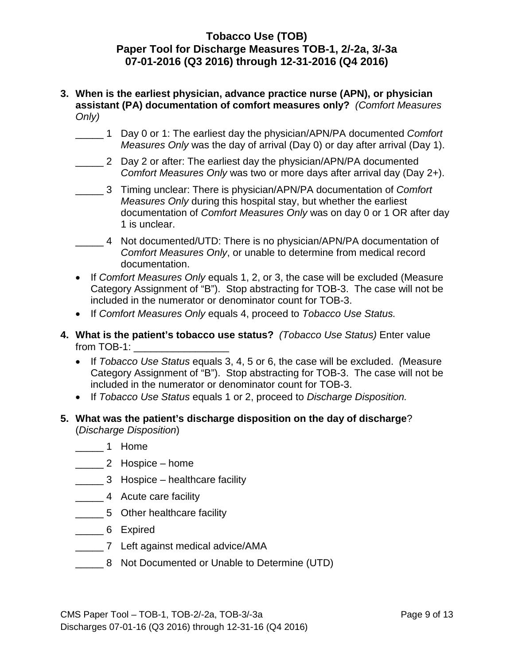- **3. When is the earliest physician, advance practice nurse (APN), or physician assistant (PA) documentation of comfort measures only?** *(Comfort Measures Only)*
	- \_\_\_\_\_ 1 Day 0 or 1: The earliest day the physician/APN/PA documented *Comfort Measures Only* was the day of arrival (Day 0) or day after arrival (Day 1).
	- \_\_\_\_\_ 2 Day 2 or after: The earliest day the physician/APN/PA documented *Comfort Measures Only* was two or more days after arrival day (Day 2+).
	- \_\_\_\_\_ 3 Timing unclear: There is physician/APN/PA documentation of *Comfort Measures Only* during this hospital stay, but whether the earliest documentation of *Comfort Measures Only* was on day 0 or 1 OR after day 1 is unclear.
	- \_\_\_\_\_ 4 Not documented/UTD: There is no physician/APN/PA documentation of *Comfort Measures Only*, or unable to determine from medical record documentation.
	- If *Comfort Measures Only* equals 1, 2, or 3, the case will be excluded (Measure Category Assignment of "B"). Stop abstracting for TOB-3. The case will not be included in the numerator or denominator count for TOB-3.
	- If *Comfort Measures Only* equals 4, proceed to *Tobacco Use Status.*
- **4. What is the patient's tobacco use status?** *(Tobacco Use Status)* Enter value from TOB-1:
	- If *Tobacco Use Status* equals 3, 4, 5 or 6, the case will be excluded. *(*Measure Category Assignment of "B"). Stop abstracting for TOB-3. The case will not be included in the numerator or denominator count for TOB-3.
	- If *Tobacco Use Status* equals 1 or 2, proceed to *Discharge Disposition.*
- **5. What was the patient's discharge disposition on the day of discharge**? (*Discharge Disposition*)
	- \_\_\_\_\_ 1 Home
	- \_\_\_\_\_ 2 Hospice home
	- \_\_\_\_\_ 3 Hospice healthcare facility
	- \_\_\_\_\_ 4 Acute care facility
	- \_\_\_\_\_ 5 Other healthcare facility
	- \_\_\_\_\_ 6 Expired
	- \_\_\_\_\_ 7 Left against medical advice/AMA
	- \_\_\_\_\_ 8 Not Documented or Unable to Determine (UTD)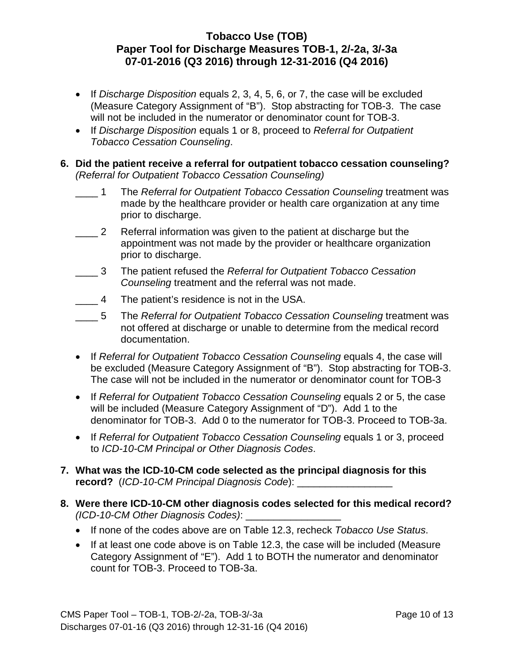- If *Discharge Disposition* equals 2, 3, 4, 5, 6, or 7, the case will be excluded (Measure Category Assignment of "B"). Stop abstracting for TOB-3. The case will not be included in the numerator or denominator count for TOB-3.
- If *Discharge Disposition* equals 1 or 8, proceed to *Referral for Outpatient Tobacco Cessation Counseling*.

#### **6. Did the patient receive a referral for outpatient tobacco cessation counseling?**  *(Referral for Outpatient Tobacco Cessation Counseling)*

- $\overline{\phantom{0}}$  1 1 The *Referral for Outpatient Tobacco Cessation Counseling* treatment was made by the healthcare provider or health care organization at any time prior to discharge.
- $\frac{2}{2}$ Referral information was given to the patient at discharge but the appointment was not made by the provider or healthcare organization prior to discharge.
- $\overline{\mathbf{3}}$ 3 The patient refused the *Referral for Outpatient Tobacco Cessation Counseling* treatment and the referral was not made.
- $\overline{4}$ The patient's residence is not in the USA.
- $\frac{5}{2}$ 5 The *Referral for Outpatient Tobacco Cessation Counseling* treatment was not offered at discharge or unable to determine from the medical record documentation.
- If *Referral for Outpatient Tobacco Cessation Counseling* equals 4, the case will be excluded (Measure Category Assignment of "B"). Stop abstracting for TOB-3. The case will not be included in the numerator or denominator count for TOB-3
- If *Referral for Outpatient Tobacco Cessation Counseling* equals 2 or 5, the case will be included (Measure Category Assignment of "D"). Add 1 to the denominator for TOB-3. Add 0 to the numerator for TOB-3. Proceed to TOB-3a.
- If *Referral for Outpatient Tobacco Cessation Counseling* equals 1 or 3, proceed to *ICD-10-CM Principal or Other Diagnosis Codes*.
- **7. What was the ICD-10-CM code selected as the principal diagnosis for this record?** (*ICD-10-CM Principal Diagnosis Code*):
- **8. Were there ICD-10-CM other diagnosis codes selected for this medical record?**  *(ICD-10-CM Other Diagnosis Codes)*: \_\_\_\_\_\_\_\_\_\_\_\_\_\_\_\_\_
	- If none of the codes above are on Table 12.3, recheck *Tobacco Use Status*.
	- If at least one code above is on Table 12.3, the case will be included (Measure Category Assignment of "E"). Add 1 to BOTH the numerator and denominator count for TOB-3. Proceed to TOB-3a.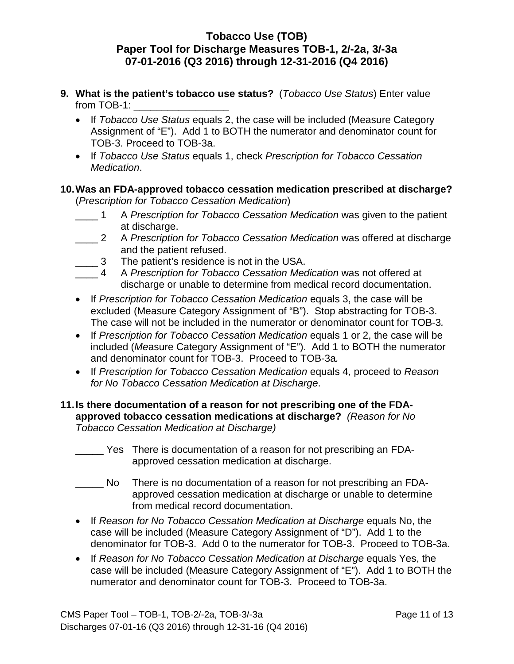- **9. What is the patient's tobacco use status?** (*Tobacco Use Status*) Enter value from TOB-1:
	- If *Tobacco Use Status* equals 2, the case will be included (Measure Category Assignment of "E"). Add 1 to BOTH the numerator and denominator count for TOB-3. Proceed to TOB-3a.
	- If *Tobacco Use Status* equals 1, check *Prescription for Tobacco Cessation Medication*.

#### **10.Was an FDA-approved tobacco cessation medication prescribed at discharge?**  (*Prescription for Tobacco Cessation Medication*)

- $\frac{1}{\sqrt{2}}$ 1 A *Prescription for Tobacco Cessation Medication* was given to the patient at discharge.
- $\overline{2}$ 2 A *Prescription for Tobacco Cessation Medication* was offered at discharge and the patient refused.
- $\frac{3}{2}$ The patient's residence is not in the USA.
- $\overline{4}$ 4 A *Prescription for Tobacco Cessation Medication* was not offered at discharge or unable to determine from medical record documentation.
- If *Prescription for Tobacco Cessation Medication* equals 3, the case will be excluded (Measure Category Assignment of "B"). Stop abstracting for TOB-3. The case will not be included in the numerator or denominator count for TOB-3*.*
- If *Prescription for Tobacco Cessation Medication* equals 1 or 2, the case will be included (*Me*asure Category Assignment of "E"). Add 1 to BOTH the numerator and denominator count for TOB-3. Proceed to TOB-3a*.*
- If *Prescription for Tobacco Cessation Medication* equals 4, proceed to *Reason for No Tobacco Cessation Medication at Discharge*.

#### **11. Is there documentation of a reason for not prescribing one of the FDAapproved tobacco cessation medications at discharge?** *(Reason for No Tobacco Cessation Medication at Discharge)*

- \_\_\_\_\_ Yes There is documentation of a reason for not prescribing an FDAapproved cessation medication at discharge.
- \_\_\_\_\_ No There is no documentation of a reason for not prescribing an FDAapproved cessation medication at discharge or unable to determine from medical record documentation.
- If *Reason for No Tobacco Cessation Medication at Discharge* equals No, the case will be included (Measure Category Assignment of "D"). Add 1 to the denominator for TOB-3. Add 0 to the numerator for TOB-3. Proceed to TOB-3a.
- If *Reason for No Tobacco Cessation Medication at Discharge* equals Yes, the case will be included (Measure Category Assignment of "E"). Add 1 to BOTH the numerator and denominator count for TOB-3. Proceed to TOB-3a.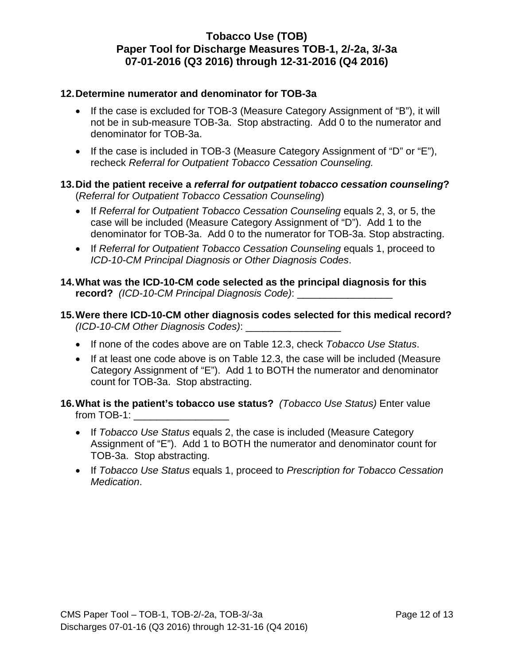#### **12.Determine numerator and denominator for TOB-3a**

- If the case is excluded for TOB-3 (Measure Category Assignment of "B"), it will not be in sub-measure TOB-3a. Stop abstracting. Add 0 to the numerator and denominator for TOB-3a.
- If the case is included in TOB-3 (Measure Category Assignment of "D" or "E"), recheck *Referral for Outpatient Tobacco Cessation Counseling.*

#### **13.Did the patient receive a** *referral for outpatient tobacco cessation counseling***?**  (*Referral for Outpatient Tobacco Cessation Counseling*)

- If *Referral for Outpatient Tobacco Cessation Counseling* equals 2, 3, or 5, the case will be included (Measure Category Assignment of "D"). Add 1 to the denominator for TOB-3a. Add 0 to the numerator for TOB-3a. Stop abstracting.
- If *Referral for Outpatient Tobacco Cessation Counseling* equals 1, proceed to *ICD-10-CM Principal Diagnosis or Other Diagnosis Codes*.
- **14.What was the ICD-10-CM code selected as the principal diagnosis for this record?** *(ICD-10-CM Principal Diagnosis Code)*: \_\_\_\_\_\_\_\_\_\_\_\_\_\_\_\_\_
- **15.Were there ICD-10-CM other diagnosis codes selected for this medical record?**  *(ICD-10-CM Other Diagnosis Codes)*: \_\_\_\_\_\_\_\_\_\_\_\_\_\_\_\_\_
	- If none of the codes above are on Table 12.3, check *Tobacco Use Status*.
	- If at least one code above is on Table 12.3, the case will be included (Measure Category Assignment of "E"). Add 1 to BOTH the numerator and denominator count for TOB-3a. Stop abstracting.
- **16.What is the patient's tobacco use status?** *(Tobacco Use Status)* Enter value from TOB-1:
	- If *Tobacco Use Status* equals 2, the case is included (Measure Category Assignment of "E"). Add 1 to BOTH the numerator and denominator count for TOB-3a. Stop abstracting.
	- If *Tobacco Use Status* equals 1, proceed to *Prescription for Tobacco Cessation Medication*.